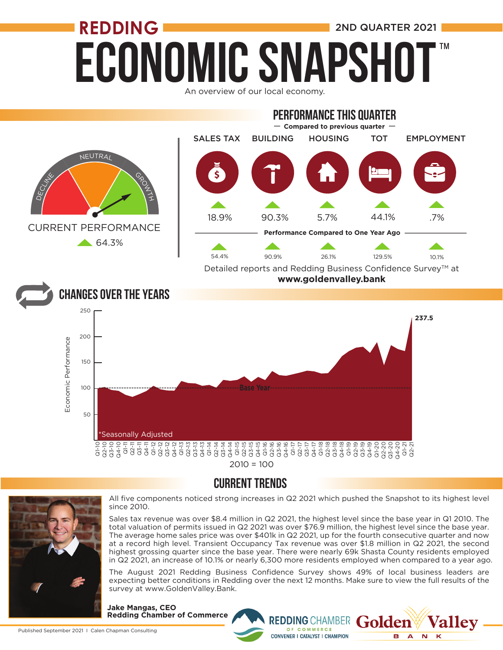## **ECONOMIC SNAPSHO REDDING** 2ND QUARTER 2021 ™

An overview of our local economy.



### CURRENT TRENDS



All five components noticed strong increases in Q2 2021 which pushed the Snapshot to its highest level since 2010.

Sales tax revenue was over \$8.4 million in Q2 2021, the highest level since the base year in Q1 2010. The total valuation of permits issued in Q2 2021 was over \$76.9 million, the highest level since the base year. The average home sales price was over \$401k in Q2 2021, up for the fourth consecutive quarter and now at a record high level. Transient Occupancy Tax revenue was over \$1.8 million in Q2 2021, the second highest grossing quarter since the base year. There were nearly 69k Shasta County residents employed in Q2 2021, an increase of 10.1% or nearly 6,300 more residents employed when compared to a year ago.

The August 2021 Redding Business Confidence Survey shows 49% of local business leaders are expecting better conditions in Redding over the next 12 months. Make sure to view the full results of the survey at www.GoldenValley.Bank.

> OF COMMERCE **CONVENER I CATALYST I CHAMPION**

REDDING CHAMBER Golden

**Vallev** 

B A

**N**  $\mathbf k$ 

**Jake Mangas, CEO Redding Chamber of Commerce**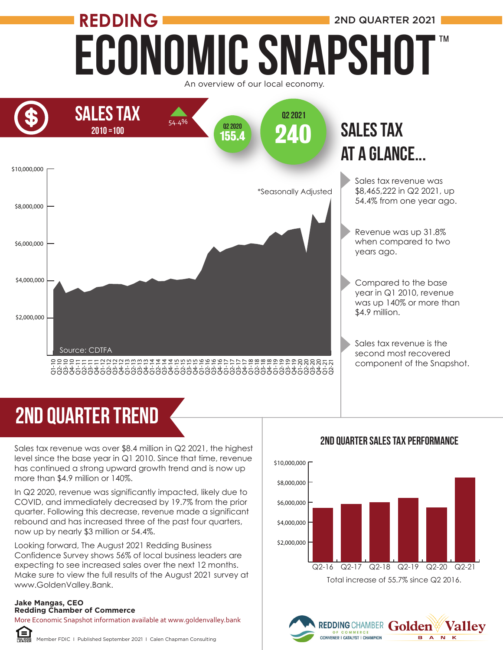## Economic Snapshot **REDDING** 2ND QUARTER 2021 An overview of our local economy. ™



# 2ND quarter trend

Sales tax revenue was over \$8.4 million in Q2 2021, the highest level since the base year in Q1 2010. Since that time, revenue has continued a strong upward growth trend and is now up more than \$4.9 million or 140%.

In Q2 2020, revenue was significantly impacted, likely due to COVID, and immediately decreased by 19.7% from the prior quarter. Following this decrease, revenue made a significant rebound and has increased three of the past four quarters, now up by nearly \$3 million or 54.4%.

Looking forward, The August 2021 Redding Business Confidence Survey shows 56% of local business leaders are expecting to see increased sales over the next 12 months. Make sure to view the full results of the August 2021 survey at www.GoldenValley.Bank.

#### **Jake Mangas, CEO Redding Chamber of Commerce**

More Economic Snapshot information available at www.goldenvalley.bank



Member FDIC I Published September 2021 I Calen Chapman Consulting



REDDING CHAMBER Golden

CONVENER I CATALYST I CHAMPION

**Valley** 

**BANK** 

#### 2ND QUarter Sales Tax Performance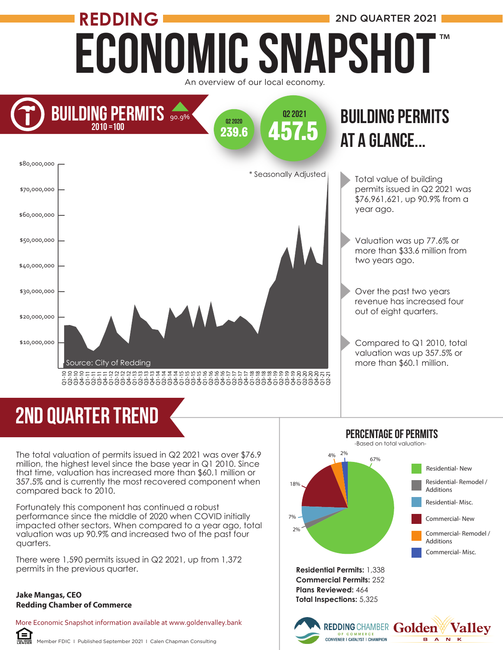## Economic Snapshot **REDDING** 2ND QUARTER 2021 An overview of our local economy. ™



# 2ND quarter trend

The total valuation of permits issued in Q2 2021 was over \$76.9 million, the highest level since the base year in Q1 2010. Since that time, valuation has increased more than \$60.1 million or 357.5% and is currently the most recovered component when compared back to 2010.

Fortunately this component has continued a robust performance since the middle of 2020 when COVID initially impacted other sectors. When compared to a year ago, total valuation was up 90.9% and increased two of the past four quarters.

There were 1,590 permits issued in Q2 2021, up from 1,372 permits in the previous quarter.

#### **Jake Mangas, CEO Redding Chamber of Commerce**

ſ=ì

More Economic Snapshot information available at www.goldenvalley.bank





REDDING CHAMBER Golden

**Vallev** 

**BANK** 

Percentage of PERMITS

**Residential Permits:** 1,338 **Commercial Permits:** 252 **Plans Reviewed:** 464 **Total Inspections:** 5,325

OF COMMERCE<br>CONVENER I CATALYST I CHAMPION



Valuation was up 77.6% or more than \$33.6 million from

Over the past two years revenue has increased four out of eight quarters.

Compared to Q1 2010, total valuation was up 357.5% or more than \$60.1 million.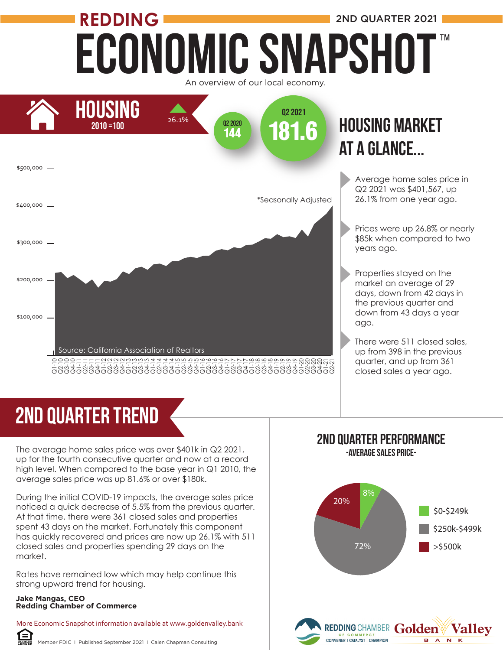## Economic Snapshot **REDDING** 2ND QUARTER 2021 An overview of our local economy. ™





# 2ND quarter trend

The average home sales price was over \$401k in Q2 2021, up for the fourth consecutive quarter and now at a record high level. When compared to the base year in Q1 2010, the average sales price was up 81.6% or over \$180k.

During the initial COVID-19 impacts, the average sales price noticed a quick decrease of 5.5% from the previous quarter. At that time, there were 361 closed sales and properties spent 43 days on the market. Fortunately this component has quickly recovered and prices are now up 26.1% with 511 closed sales and properties spending 29 days on the market. **Redding Chamber of Commerce**<br> **Redding Chamber of Conservation**<br> **Reduce** Conservative Chigh level. When compared to<br>
average sales price was up 81<br>
During the initial COVID-19 importied a quick decrease of 5<br>
At that tim

Rates have remained low which may help continue this strong upward trend for housing.

### **Jake Mangas, CEO**

〔≡

More Economic Snapshot information available at www.goldenvalley.bank

Member FDIC I Published September 2021 I Calen Chapman Consulting

#### 2ND Quarter Performance -Average Sales Price-

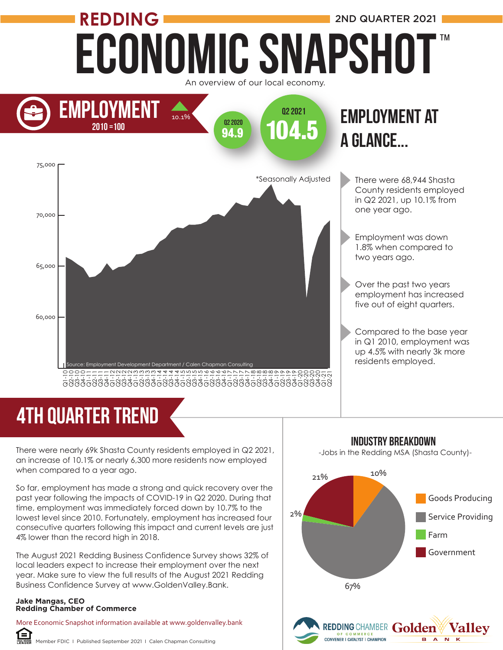

# 4TH quarter trend

There were nearly 69k Shasta County residents employed in Q2 2021, an increase of 10.1% or nearly 6,300 more residents now employed when compared to a year ago.

So far, employment has made a strong and quick recovery over the past year following the impacts of COVID-19 in Q2 2020. During that time, employment was immediately forced down by 10.7% to the lowest level since 2010. Fortunately, employment has increased four consecutive quarters following this impact and current levels are just 4% lower than the record high in 2018.

The August 2021 Redding Business Confidence Survey shows 32% of local leaders expect to increase their employment over the next year. Make sure to view the full results of the August 2021 Redding Business Confidence Survey at www.GoldenValley.Bank.

#### **Jake Mangas, CEO Redding Chamber of Commerce**

f≡ì

More Economic Snapshot information available at www.goldenvalley.bank

Member FDIC I Published September 2021 I Calen Chapman Consulting



 $\overline{B \quad A}$ 

### industry breakdown